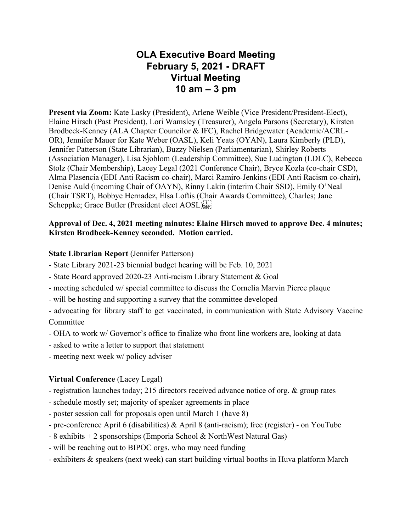# **OLA Executive Board Meeting February 5, 2021 - DRAFT Virtual Meeting 10 am – 3 pm**

**Present via Zoom:** Kate Lasky (President), Arlene Weible (Vice President/President-Elect), Elaine Hirsch (Past President), Lori Wamsley (Treasurer), Angela Parsons (Secretary), Kirsten Brodbeck-Kenney (ALA Chapter Councilor & IFC), Rachel Bridgewater (Academic/ACRL-OR), Jennifer Mauer for Kate Weber (OASL), Keli Yeats (OYAN), Laura Kimberly (PLD), Jennifer Patterson (State Librarian), Buzzy Nielsen (Parliamentarian), Shirley Roberts (Association Manager), Lisa Sjoblom (Leadership Committee), Sue Ludington (LDLC), Rebecca Stolz (Chair Membership), Lacey Legal (2021 Conference Chair), Bryce Kozla (co-chair CSD), Alma Plasencia (EDI Anti Racism co-chair), Marci Ramiro-Jenkins (EDI Anti Racism co-chair**),**  Denise Auld (incoming Chair of OAYN), Rinny Lakin (interim Chair SSD), Emily O'Neal (Chair TSRT), Bobbye Hernadez, Elsa Loftis (Chair Awards Committee), Charles; Jane Scheppke; Grace Butler (President elect AOSL)

#### **Approval of Dec. 4, 2021 meeting minutes: Elaine Hirsch moved to approve Dec. 4 minutes; Kirsten Brodbeck-Kenney seconded. Motion carried.**

#### **State Librarian Report** (Jennifer Patterson)

- State Library 2021-23 biennial budget hearing will be Feb. 10, 2021
- State Board approved 2020-23 Anti-racism Library Statement & Goal
- meeting scheduled w/ special committee to discuss the Cornelia Marvin Pierce plaque
- will be hosting and supporting a survey that the committee developed

- advocating for library staff to get vaccinated, in communication with State Advisory Vaccine Committee

- OHA to work w/ Governor's office to finalize who front line workers are, looking at data
- asked to write a letter to support that statement
- meeting next week w/ policy adviser

#### **Virtual Conference** (Lacey Legal)

- registration launches today; 215 directors received advance notice of org. & group rates
- schedule mostly set; majority of speaker agreements in place
- poster session call for proposals open until March 1 (have 8)
- pre-conference April 6 (disabilities) & April 8 (anti-racism); free (register) on YouTube
- 8 exhibits + 2 sponsorships (Emporia School & NorthWest Natural Gas)
- will be reaching out to BIPOC orgs. who may need funding
- exhibiters & speakers (next week) can start building virtual booths in Huva platform March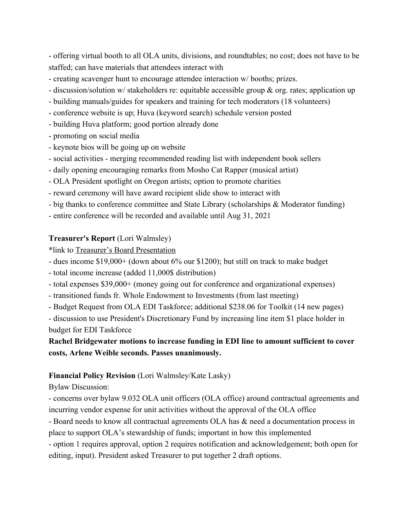- offering virtual booth to all OLA units, divisions, and roundtables; no cost; does not have to be staffed; can have materials that attendees interact with

- creating scavenger hunt to encourage attendee interaction w/ booths; prizes.
- discussion/solution w/ stakeholders re: equitable accessible group & org. rates; application up
- building manuals/guides for speakers and training for tech moderators (18 volunteers)
- conference website is up; Huva (keyword search) schedule version posted
- building Huva platform; good portion already done
- promoting on social media
- keynote bios will be going up on website
- social activities merging recommended reading list with independent book sellers
- daily opening encouraging remarks from Mosho Cat Rapper (musical artist)
- OLA President spotlight on Oregon artists; option to promote charities
- reward ceremony will have award recipient slide show to interact with
- big thanks to conference committee and State Library (scholarships & Moderator funding)
- entire conference will be recorded and available until Aug 31, 2021

#### **Treasurer's Report** (Lori Walmsley)

\*link to Treasurer's Board Presentation

- dues income \$19,000+ (down about 6% our \$1200); but still on track to make budget
- total income increase (added 11,000\$ distribution)
- total expenses \$39,000+ (money going out for conference and organizational expenses)
- transitioned funds fr. Whole Endowment to Investments (from last meeting)
- Budget Request from OLA EDI Taskforce; additional \$238.06 for Toolkit (14 new pages)

- discussion to use President's Discretionary Fund by increasing line item \$1 place holder in budget for EDI Taskforce

### **Rachel Bridgewater motions to increase funding in EDI line to amount sufficient to cover costs, Arlene Weible seconds. Passes unanimously.**

#### **Financial Policy Revision** (Lori Walmsley/Kate Lasky)

Bylaw Discussion:

- concerns over bylaw 9.032 OLA unit officers (OLA office) around contractual agreements and incurring vendor expense for unit activities without the approval of the OLA office

- Board needs to know all contractual agreements OLA has & need a documentation process in place to support OLA's stewardship of funds; important in how this implemented

- option 1 requires approval, option 2 requires notification and acknowledgement; both open for editing, input). President asked Treasurer to put together 2 draft options.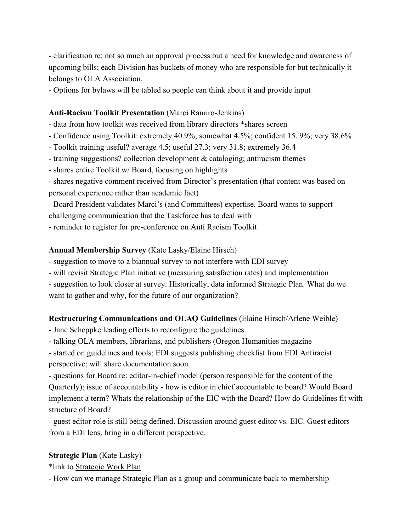- clarification re: not so much an approval process but a need for knowledge and awareness of upcoming bills; each Division has buckets of money who are responsible for but technically it belongs to OLA Association.

- Options for bylaws will be tabled so people can think about it and provide input

#### **Anti-Racism Toolkit Presentation** (Marci Ramiro-Jenkins)

- data from how toolkit was received from library directors \*shares screen
- Confidence using Toolkit: extremely 40.9%; somewhat 4.5%; confident 15. 9%; very 38.6%
- Toolkit training useful? average 4.5; useful 27.3; very 31.8; extremely 36.4
- training suggestions? collection development & cataloging; antiracism themes
- shares entire Toolkit w/ Board, focusing on highlights
- shares negative comment received from Director's presentation (that content was based on personal experience rather than academic fact)

- Board President validates Marci's (and Committees) expertise. Board wants to support challenging communication that the Taskforce has to deal with

- reminder to register for pre-conference on Anti Racism Toolkit

#### **Annual Membership Survey** (Kate Lasky/Elaine Hirsch)

- suggestion to move to a biannual survey to not interfere with EDI survey

- will revisit Strategic Plan initiative (measuring satisfaction rates) and implementation
- suggestion to look closer at survey. Historically, data informed Strategic Plan. What do we want to gather and why, for the future of our organization?

#### **Restructuring Communications and OLAQ Guidelines** (Elaine Hirsch/Arlene Weible)

- Jane Scheppke leading efforts to reconfigure the guidelines

- talking OLA members, librarians, and publishers (Oregon Humanities magazine

- started on guidelines and tools; EDI suggests publishing checklist from EDI Antiracist perspective; will share documentation soon

- questions for Board re: editor-in-chief model (person responsible for the content of the Quarterly); issue of accountability - how is editor in chief accountable to board? Would Board implement a term? Whats the relationship of the EIC with the Board? How do Guidelines fit with structure of Board?

- guest editor role is still being defined. Discussion around guest editor vs. EIC. Guest editors from a EDI lens, bring in a different perspective.

#### **Strategic Plan** (Kate Lasky)

\*link to Strategic Work Plan

- How can we manage Strategic Plan as a group and communicate back to membership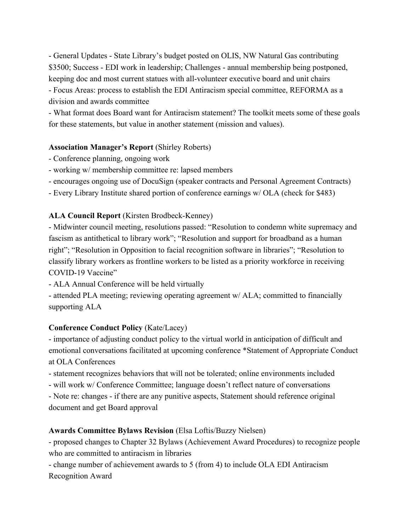- General Updates - State Library's budget posted on OLIS, NW Natural Gas contributing \$3500; Success - EDI work in leadership; Challenges - annual membership being postponed, keeping doc and most current statues with all-volunteer executive board and unit chairs

- Focus Areas: process to establish the EDI Antiracism special committee, REFORMA as a division and awards committee

- What format does Board want for Antiracism statement? The toolkit meets some of these goals for these statements, but value in another statement (mission and values).

#### **Association Manager's Report** (Shirley Roberts)

- Conference planning, ongoing work
- working w/ membership committee re: lapsed members
- encourages ongoing use of DocuSign (speaker contracts and Personal Agreement Contracts)
- Every Library Institute shared portion of conference earnings w/ OLA (check for \$483)

#### **ALA Council Report** (Kirsten Brodbeck-Kenney)

- Midwinter council meeting, resolutions passed: "Resolution to condemn white supremacy and fascism as antithetical to library work"; "Resolution and support for broadband as a human right"; "Resolution in Opposition to facial recognition software in libraries"; "Resolution to classify library workers as frontline workers to be listed as a priority workforce in receiving COVID-19 Vaccine"

- ALA Annual Conference will be held virtually

- attended PLA meeting; reviewing operating agreement w/ ALA; committed to financially supporting ALA

#### **Conference Conduct Policy** (Kate/Lacey)

- importance of adjusting conduct policy to the virtual world in anticipation of difficult and emotional conversations facilitated at upcoming conference \*Statement of Appropriate Conduct at OLA Conferences

- statement recognizes behaviors that will not be tolerated; online environments included

- will work w/ Conference Committee; language doesn't reflect nature of conversations

- Note re: changes - if there are any punitive aspects, Statement should reference original document and get Board approval

#### **Awards Committee Bylaws Revision** (Elsa Loftis/Buzzy Nielsen)

- proposed changes to Chapter 32 Bylaws (Achievement Award Procedures) to recognize people who are committed to antiracism in libraries

- change number of achievement awards to 5 (from 4) to include OLA EDI Antiracism

Recognition Award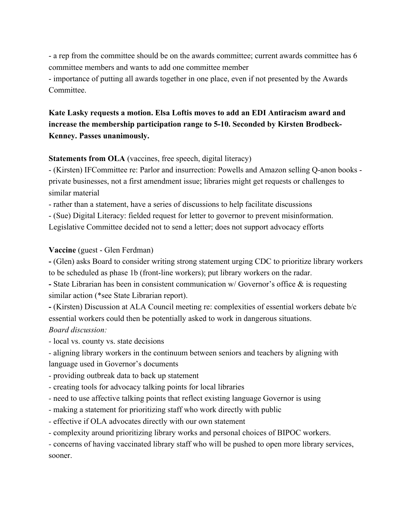- a rep from the committee should be on the awards committee; current awards committee has 6 committee members and wants to add one committee member

- importance of putting all awards together in one place, even if not presented by the Awards Committee.

## **Kate Lasky requests a motion. Elsa Loftis moves to add an EDI Antiracism award and increase the membership participation range to 5-10. Seconded by Kirsten Brodbeck-Kenney. Passes unanimously.**

#### **Statements from OLA** (vaccines, free speech, digital literacy)

- (Kirsten) IFCommittee re: Parlor and insurrection: Powells and Amazon selling Q-anon books private businesses, not a first amendment issue; libraries might get requests or challenges to similar material

- rather than a statement, have a series of discussions to help facilitate discussions

- (Sue) Digital Literacy: fielded request for letter to governor to prevent misinformation.

Legislative Committee decided not to send a letter; does not support advocacy efforts

#### **Vaccine** (guest - Glen Ferdman)

**-** (Glen) asks Board to consider writing strong statement urging CDC to prioritize library workers to be scheduled as phase 1b (front-line workers); put library workers on the radar.

**-** State Librarian has been in consistent communication w/ Governor's office & is requesting similar action (\*see State Librarian report).

**-** (Kirsten) Discussion at ALA Council meeting re: complexities of essential workers debate b/c essential workers could then be potentially asked to work in dangerous situations.

### *Board discussion:*

*-* local vs. county vs. state decisions

*-* aligning library workers in the continuum between seniors and teachers by aligning with language used in Governor's documents

- *-* providing outbreak data to back up statement
- *-* creating tools for advocacy talking points for local libraries
- *-* need to use affective talking points that reflect existing language Governor is using
- *-* making a statement for prioritizing staff who work directly with public
- *-* effective if OLA advocates directly with our own statement
- *-* complexity around prioritizing library works and personal choices of BIPOC workers.

*-* concerns of having vaccinated library staff who will be pushed to open more library services, sooner.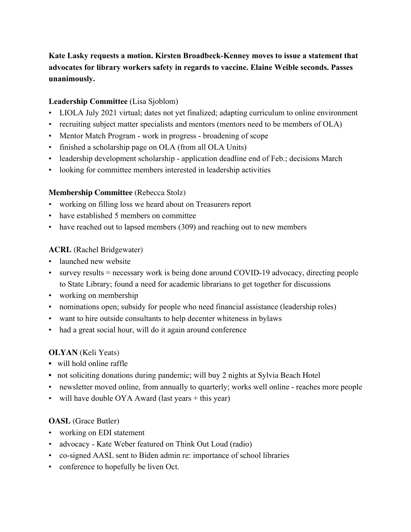## **Kate Lasky requests a motion. Kirsten Broadbeck-Kenney moves to issue a statement that advocates for library workers safety in regards to vaccine. Elaine Weible seconds. Passes unanimously.**

### **Leadership Committee** (Lisa Sjoblom)

- LIOLA July 2021 virtual; dates not yet finalized; adapting curriculum to online environment
- recruiting subject matter specialists and mentors (mentors need to be members of OLA)
- Mentor Match Program work in progress broadening of scope
- finished a scholarship page on OLA (from all OLA Units)
- leadership development scholarship application deadline end of Feb.; decisions March
- looking for committee members interested in leadership activities

### **Membership Committee** (Rebecca Stolz)

- working on filling loss we heard about on Treasurers report
- have established 5 members on committee
- have reached out to lapsed members (309) and reaching out to new members

### **ACRL** (Rachel Bridgewater)

- launched new website
- survey results = necessary work is being done around COVID-19 advocacy, directing people to State Library; found a need for academic librarians to get together for discussions
- working on membership
- nominations open; subsidy for people who need financial assistance (leadership roles)
- want to hire outside consultants to help decenter whiteness in bylaws
- had a great social hour, will do it again around conference

### **OLYAN** (Keli Yeats)

- will hold online raffle
- not soliciting donations during pandemic; will buy 2 nights at Sylvia Beach Hotel
- newsletter moved online, from annually to quarterly; works well online reaches more people
- will have double OYA Award (last years  $+$  this year)

### **OASL** (Grace Butler)

- working on EDI statement
- advocacy Kate Weber featured on Think Out Loud (radio)
- co-signed AASL sent to Biden admin re: importance of school libraries
- conference to hopefully be liven Oct.